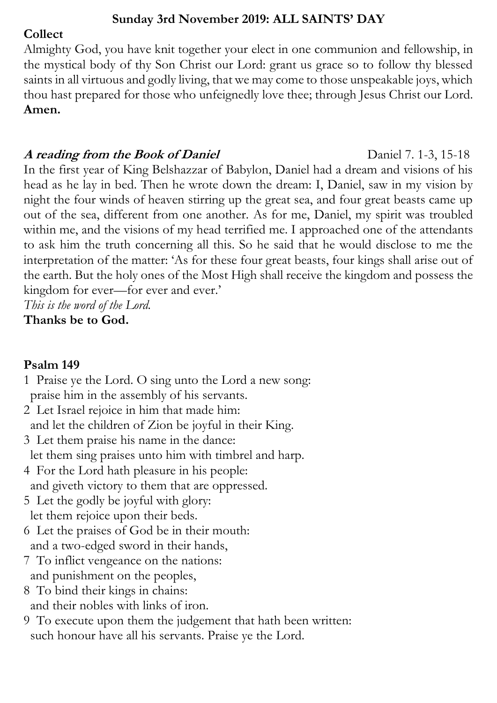#### **Sunday 3rd November 2019: ALL SAINTS' DAY**

#### **Collect**

Almighty God, you have knit together your elect in one communion and fellowship, in the mystical body of thy Son Christ our Lord: grant us grace so to follow thy blessed saints in all virtuous and godly living, that we may come to those unspeakable joys, which thou hast prepared for those who unfeignedly love thee; through Jesus Christ our Lord. **Amen.**

## A reading from the Book of Daniel **Daniel** Daniel 7. 1-3, 15-18

In the first year of King Belshazzar of Babylon, Daniel had a dream and visions of his head as he lay in bed. Then he wrote down the dream: I, Daniel, saw in my vision by night the four winds of heaven stirring up the great sea, and four great beasts came up out of the sea, different from one another. As for me, Daniel, my spirit was troubled within me, and the visions of my head terrified me. I approached one of the attendants to ask him the truth concerning all this. So he said that he would disclose to me the interpretation of the matter: 'As for these four great beasts, four kings shall arise out of the earth. But the holy ones of the Most High shall receive the kingdom and possess the kingdom for ever—for ever and ever.'

*This is the word of the Lord.* **Thanks be to God.**

## **Psalm 149**

- 1 Praise ye the Lord. O sing unto the Lord a new song: praise him in the assembly of his servants.
- 2 Let Israel rejoice in him that made him: and let the children of Zion be joyful in their King.
- 3 Let them praise his name in the dance: let them sing praises unto him with timbrel and harp.
- 4 For the Lord hath pleasure in his people: and giveth victory to them that are oppressed.
- 5 Let the godly be joyful with glory: let them rejoice upon their beds.
- 6 Let the praises of God be in their mouth: and a two-edged sword in their hands,
- 7 To inflict vengeance on the nations: and punishment on the peoples,
- 8 To bind their kings in chains: and their nobles with links of iron.
- 9 To execute upon them the judgement that hath been written: such honour have all his servants. Praise ye the Lord.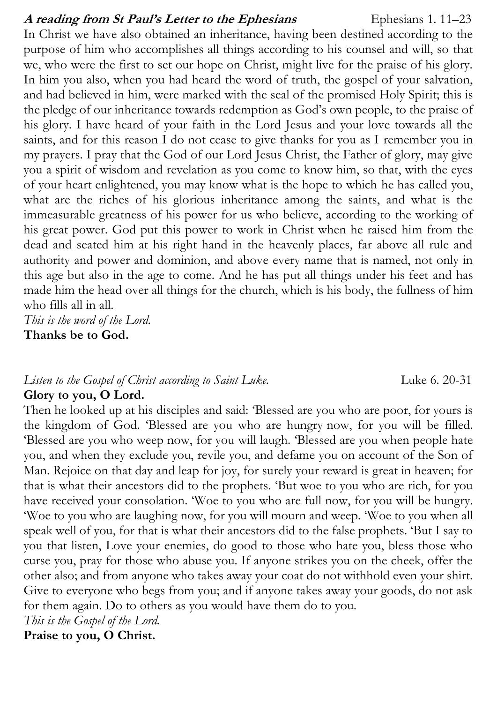#### **A reading from St Paul's Letter to the Ephesians** Ephesians 1. 11–23

In Christ we have also obtained an inheritance, having been destined according to the purpose of him who accomplishes all things according to his counsel and will, so that we, who were the first to set our hope on Christ, might live for the praise of his glory. In him you also, when you had heard the word of truth, the gospel of your salvation, and had believed in him, were marked with the seal of the promised Holy Spirit; this is the pledge of our inheritance towards redemption as God's own people, to the praise of his glory. I have heard of your faith in the Lord Jesus and your love towards all the saints, and for this reason I do not cease to give thanks for you as I remember you in my prayers. I pray that the God of our Lord Jesus Christ, the Father of glory, may give you a spirit of wisdom and revelation as you come to know him, so that, with the eyes of your heart enlightened, you may know what is the hope to which he has called you, what are the riches of his glorious inheritance among the saints, and what is the immeasurable greatness of his power for us who believe, according to the working of his great power. God put this power to work in Christ when he raised him from the dead and seated him at his right hand in the heavenly places, far above all rule and authority and power and dominion, and above every name that is named, not only in this age but also in the age to come. And he has put all things under his feet and has made him the head over all things for the church, which is his body, the fullness of him who fills all in all.

*This is the word of the Lord.* **Thanks be to God.**

#### Listen to the Gospel of Christ according to Saint Luke. **Luke 18 Luke 6. 20-31**

# **Glory to you, O Lord.**

Then he looked up at his disciples and said: 'Blessed are you who are poor, for yours is the kingdom of God. 'Blessed are you who are hungry now, for you will be filled. 'Blessed are you who weep now, for you will laugh. 'Blessed are you when people hate you, and when they exclude you, revile you, and defame you on account of the Son of Man. Rejoice on that day and leap for joy, for surely your reward is great in heaven; for that is what their ancestors did to the prophets. 'But woe to you who are rich, for you have received your consolation. 'Woe to you who are full now, for you will be hungry. 'Woe to you who are laughing now, for you will mourn and weep. 'Woe to you when all speak well of you, for that is what their ancestors did to the false prophets. 'But I say to you that listen, Love your enemies, do good to those who hate you, bless those who curse you, pray for those who abuse you. If anyone strikes you on the cheek, offer the other also; and from anyone who takes away your coat do not withhold even your shirt. Give to everyone who begs from you; and if anyone takes away your goods, do not ask for them again. Do to others as you would have them do to you.

*This is the Gospel of the Lord.*

**Praise to you, O Christ.**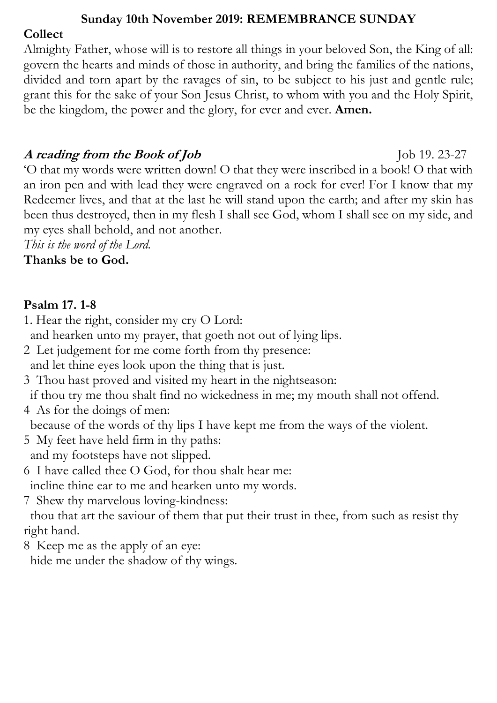#### **Sunday 10th November 2019: REMEMBRANCE SUNDAY**

### **Collect**

Almighty Father, whose will is to restore all things in your beloved Son, the King of all: govern the hearts and minds of those in authority, and bring the families of the nations, divided and torn apart by the ravages of sin, to be subject to his just and gentle rule; grant this for the sake of your Son Jesus Christ, to whom with you and the Holy Spirit, be the kingdom, the power and the glory, for ever and ever. **Amen.**

## **A reading from the Book of Job** Job 19. 23-27

'O that my words were written down! O that they were inscribed in a book! O that with an iron pen and with lead they were engraved on a rock for ever! For I know that my Redeemer lives, and that at the last he will stand upon the earth; and after my skin has been thus destroyed, then in my flesh I shall see God, whom I shall see on my side, and my eyes shall behold, and not another.

*This is the word of the Lord.*

**Thanks be to God.**

# **Psalm 17. 1-8**

- 1. Hear the right, consider my cry O Lord:
- and hearken unto my prayer, that goeth not out of lying lips.
- 2 Let judgement for me come forth from thy presence: and let thine eyes look upon the thing that is just.
- 3 Thou hast proved and visited my heart in the nightseason:
- if thou try me thou shalt find no wickedness in me; my mouth shall not offend.
- 4 As for the doings of men:

because of the words of thy lips I have kept me from the ways of the violent.

- 5 My feet have held firm in thy paths: and my footsteps have not slipped.
- 6 I have called thee O God, for thou shalt hear me: incline thine ear to me and hearken unto my words.
- 7 Shew thy marvelous loving-kindness:

 thou that art the saviour of them that put their trust in thee, from such as resist thy right hand.

8 Keep me as the apply of an eye:

hide me under the shadow of thy wings.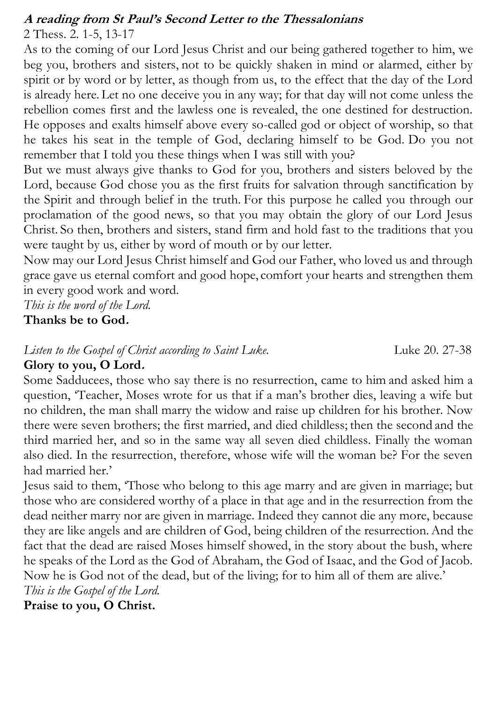# **A reading from St Paul's Second Letter to the Thessalonians**

2 Thess. 2. 1-5, 13-17

As to the coming of our Lord Jesus Christ and our being gathered together to him, we beg you, brothers and sisters, not to be quickly shaken in mind or alarmed, either by spirit or by word or by letter, as though from us, to the effect that the day of the Lord is already here. Let no one deceive you in any way; for that day will not come unless the rebellion comes first and the lawless one is revealed, the one destined for destruction. He opposes and exalts himself above every so-called god or object of worship, so that he takes his seat in the temple of God, declaring himself to be God. Do you not remember that I told you these things when I was still with you?

But we must always give thanks to God for you, brothers and sisters beloved by the Lord, because God chose you as the first fruits for salvation through sanctification by the Spirit and through belief in the truth. For this purpose he called you through our proclamation of the good news, so that you may obtain the glory of our Lord Jesus Christ. So then, brothers and sisters, stand firm and hold fast to the traditions that you were taught by us, either by word of mouth or by our letter.

Now may our Lord Jesus Christ himself and God our Father, who loved us and through grace gave us eternal comfort and good hope, comfort your hearts and strengthen them in every good work and word.

*This is the word of the Lord.*

**Thanks be to God.**

*Listen to the Gospel of Christ according to Saint Luke.* Luke 20. 27-38

# **Glory to you, O Lord.**

Some Sadducees, those who say there is no resurrection, came to him and asked him a question, 'Teacher, Moses wrote for us that if a man's brother dies, leaving a wife but no children, the man shall marry the widow and raise up children for his brother. Now there were seven brothers; the first married, and died childless; then the second and the third married her, and so in the same way all seven died childless. Finally the woman also died. In the resurrection, therefore, whose wife will the woman be? For the seven had married her.'

Jesus said to them, 'Those who belong to this age marry and are given in marriage; but those who are considered worthy of a place in that age and in the resurrection from the dead neither marry nor are given in marriage. Indeed they cannot die any more, because they are like angels and are children of God, being children of the resurrection.And the fact that the dead are raised Moses himself showed, in the story about the bush, where he speaks of the Lord as the God of Abraham, the God of Isaac, and the God of Jacob. Now he is God not of the dead, but of the living; for to him all of them are alive.' *This is the Gospel of the Lord.*

**Praise to you, O Christ.**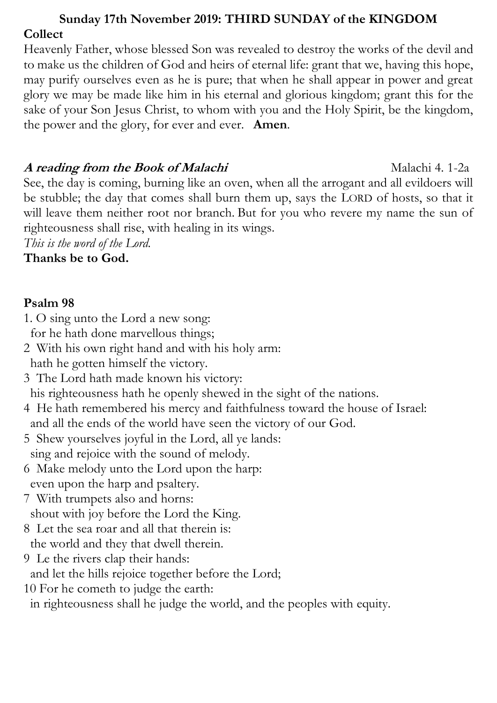## **Sunday 17th November 2019: THIRD SUNDAY of the KINGDOM Collect**

Heavenly Father, whose blessed Son was revealed to destroy the works of the devil and to make us the children of God and heirs of eternal life: grant that we, having this hope, may purify ourselves even as he is pure; that when he shall appear in power and great glory we may be made like him in his eternal and glorious kingdom; grant this for the sake of your Son Jesus Christ, to whom with you and the Holy Spirit, be the kingdom, the power and the glory, for ever and ever. **Amen**.

## A reading from the Book of Malachi **Malachi** Malachi 4. 1-2a

See, the day is coming, burning like an oven, when all the arrogant and all evildoers will be stubble; the day that comes shall burn them up, says the LORD of hosts, so that it will leave them neither root nor branch. But for you who revere my name the sun of righteousness shall rise, with healing in its wings.

*This is the word of the Lord.*

**Thanks be to God.**

# **Psalm 98**

- 1. O sing unto the Lord a new song: for he hath done marvellous things;
- 2 With his own right hand and with his holy arm: hath he gotten himself the victory.
- 3 The Lord hath made known his victory: his righteousness hath he openly shewed in the sight of the nations.
- 4 He hath remembered his mercy and faithfulness toward the house of Israel: and all the ends of the world have seen the victory of our God.
- 5 Shew yourselves joyful in the Lord, all ye lands: sing and rejoice with the sound of melody.
- 6 Make melody unto the Lord upon the harp: even upon the harp and psaltery.
- 7 With trumpets also and horns: shout with joy before the Lord the King.
- 8 Let the sea roar and all that therein is: the world and they that dwell therein.
- 9 Le the rivers clap their hands: and let the hills rejoice together before the Lord;
- 10 For he cometh to judge the earth:

in righteousness shall he judge the world, and the peoples with equity.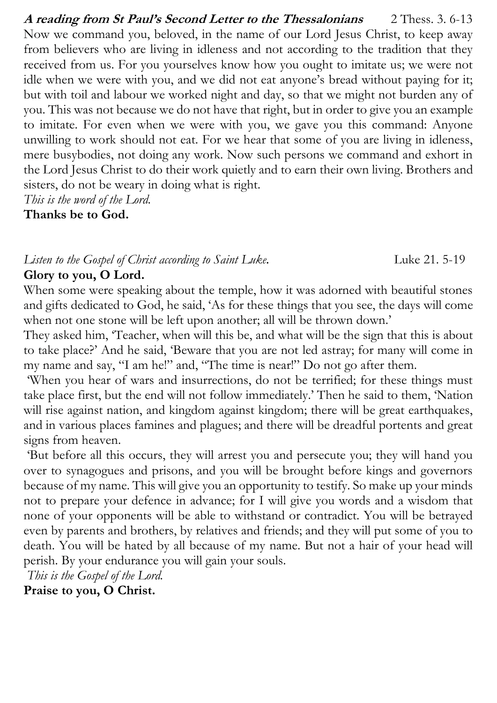**A reading from St Paul's Second Letter to the Thessalonians** 2 Thess. 3. 6-13 Now we command you, beloved, in the name of our Lord Jesus Christ, to keep away from believers who are living in idleness and not according to the tradition that they received from us. For you yourselves know how you ought to imitate us; we were not idle when we were with you, and we did not eat anyone's bread without paying for it; but with toil and labour we worked night and day, so that we might not burden any of you. This was not because we do not have that right, but in order to give you an example to imitate. For even when we were with you, we gave you this command: Anyone unwilling to work should not eat. For we hear that some of you are living in idleness, mere busybodies, not doing any work. Now such persons we command and exhort in the Lord Jesus Christ to do their work quietly and to earn their own living. Brothers and sisters, do not be weary in doing what is right.

*This is the word of the Lord.*

**Thanks be to God.**

### *Listen to the Gospel of Christ according to Saint Luke.* Luke 21. 5-19

## **Glory to you, O Lord.**

When some were speaking about the temple, how it was adorned with beautiful stones and gifts dedicated to God, he said, 'As for these things that you see, the days will come when not one stone will be left upon another; all will be thrown down.'

They asked him, 'Teacher, when will this be, and what will be the sign that this is about to take place?' And he said, 'Beware that you are not led astray; for many will come in my name and say, "I am he!" and, "The time is near!" Do not go after them.

'When you hear of wars and insurrections, do not be terrified; for these things must take place first, but the end will not follow immediately.' Then he said to them, 'Nation will rise against nation, and kingdom against kingdom; there will be great earthquakes, and in various places famines and plagues; and there will be dreadful portents and great signs from heaven.

'But before all this occurs, they will arrest you and persecute you; they will hand you over to synagogues and prisons, and you will be brought before kings and governors because of my name. This will give you an opportunity to testify. So make up your minds not to prepare your defence in advance; for I will give you words and a wisdom that none of your opponents will be able to withstand or contradict. You will be betrayed even by parents and brothers, by relatives and friends; and they will put some of you to death. You will be hated by all because of my name. But not a hair of your head will perish. By your endurance you will gain your souls.

*This is the Gospel of the Lord.*

**Praise to you, O Christ.**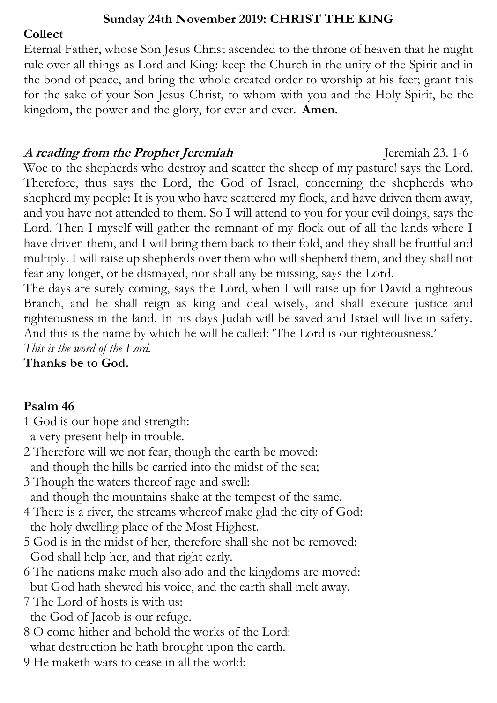#### **Sunday 24th November 2019: CHRIST THE KING**

### **Collect**

Eternal Father, whose Son Jesus Christ ascended to the throne of heaven that he might rule over all things as Lord and King: keep the Church in the unity of the Spirit and in the bond of peace, and bring the whole created order to worship at his feet; grant this for the sake of your Son Jesus Christ, to whom with you and the Holy Spirit, be the kingdom, the power and the glory, for ever and ever. **Amen.**

## **A reading from the Prophet Jeremiah** Jeremiah 23. 1-6

Woe to the shepherds who destroy and scatter the sheep of my pasture! says the Lord. Therefore, thus says the Lord, the God of Israel, concerning the shepherds who shepherd my people: It is you who have scattered my flock, and have driven them away, and you have not attended to them. So I will attend to you for your evil doings, says the Lord. Then I myself will gather the remnant of my flock out of all the lands where I have driven them, and I will bring them back to their fold, and they shall be fruitful and multiply. I will raise up shepherds over them who will shepherd them, and they shall not fear any longer, or be dismayed, nor shall any be missing, says the Lord.

The days are surely coming, says the Lord, when I will raise up for David a righteous Branch, and he shall reign as king and deal wisely, and shall execute justice and righteousness in the land. In his days Judah will be saved and Israel will live in safety. And this is the name by which he will be called: 'The Lord is our righteousness.'

*This is the word of the Lord.*

**Thanks be to God.**

# **Psalm 46**

1 God is our hope and strength:

- a very present help in trouble.
- 2 Therefore will we not fear, though the earth be moved: and though the hills be carried into the midst of the sea;
- 3 Though the waters thereof rage and swell: and though the mountains shake at the tempest of the same.
- 4 There is a river, the streams whereof make glad the city of God:
- the holy dwelling place of the Most Highest.
- 5 God is in the midst of her, therefore shall she not be removed: God shall help her, and that right early.
- 6 The nations make much also ado and the kingdoms are moved: but God hath shewed his voice, and the earth shall melt away.
- 7 The Lord of hosts is with us: the God of Jacob is our refuge.
- 8 O come hither and behold the works of the Lord: what destruction he hath brought upon the earth.
- 9 He maketh wars to cease in all the world: